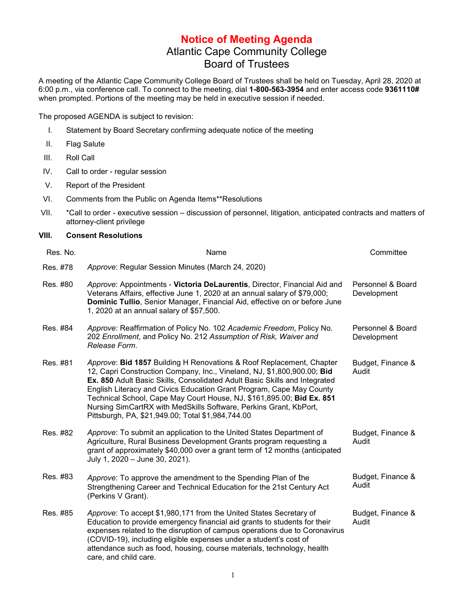## **Notice of Meeting Agenda** Atlantic Cape Community College Board of Trustees

A meeting of the Atlantic Cape Community College Board of Trustees shall be held on Tuesday, April 28, 2020 at 6:00 p.m., via conference call. To connect to the meeting, dial **1-800-563-3954** and enter access code **9361110#** when prompted. Portions of the meeting may be held in executive session if needed.

The proposed AGENDA is subject to revision:

- I. Statement by Board Secretary confirming adequate notice of the meeting
- II. Flag Salute
- III. Roll Call
- IV. Call to order regular session
- V. Report of the President
- VI. Comments from the Public on Agenda Items\*\*Resolutions
- VII. \*Call to order executive session discussion of personnel, litigation, anticipated contracts and matters of attorney-client privilege

## **VIII. Consent Resolutions**

| Res. No. | Name                                                                                                                                                                                                                                                                                                                                                                                                                                                                                                     | Committee                        |
|----------|----------------------------------------------------------------------------------------------------------------------------------------------------------------------------------------------------------------------------------------------------------------------------------------------------------------------------------------------------------------------------------------------------------------------------------------------------------------------------------------------------------|----------------------------------|
| Res. #78 | Approve: Regular Session Minutes (March 24, 2020)                                                                                                                                                                                                                                                                                                                                                                                                                                                        |                                  |
| Res. #80 | Approve: Appointments - Victoria DeLaurentis, Director, Financial Aid and<br>Veterans Affairs, effective June 1, 2020 at an annual salary of \$79,000;<br>Dominic Tullio, Senior Manager, Financial Aid, effective on or before June<br>1, 2020 at an annual salary of \$57,500.                                                                                                                                                                                                                         | Personnel & Board<br>Development |
| Res. #84 | Approve: Reaffirmation of Policy No. 102 Academic Freedom, Policy No.<br>202 Enrollment, and Policy No. 212 Assumption of Risk, Waiver and<br>Release Form.                                                                                                                                                                                                                                                                                                                                              | Personnel & Board<br>Development |
| Res. #81 | Approve: Bid 1857 Building H Renovations & Roof Replacement, Chapter<br>12, Capri Construction Company, Inc., Vineland, NJ, \$1,800,900.00; Bid<br>Ex. 850 Adult Basic Skills, Consolidated Adult Basic Skills and Integrated<br>English Literacy and Civics Education Grant Program, Cape May County<br>Technical School, Cape May Court House, NJ, \$161,895.00; Bid Ex. 851<br>Nursing SimCartRX with MedSkills Software, Perkins Grant, KbPort,<br>Pittsburgh, PA, \$21,949.00; Total \$1,984,744.00 | Budget, Finance &<br>Audit       |
| Res. #82 | Approve: To submit an application to the United States Department of<br>Agriculture, Rural Business Development Grants program requesting a<br>grant of approximately \$40,000 over a grant term of 12 months (anticipated<br>July 1, 2020 - June 30, 2021).                                                                                                                                                                                                                                             | Budget, Finance &<br>Audit       |
| Res. #83 | Approve: To approve the amendment to the Spending Plan of the<br>Strengthening Career and Technical Education for the 21st Century Act<br>(Perkins V Grant).                                                                                                                                                                                                                                                                                                                                             | Budget, Finance &<br>Audit       |
| Res. #85 | Approve: To accept \$1,980,171 from the United States Secretary of<br>Education to provide emergency financial aid grants to students for their<br>expenses related to the disruption of campus operations due to Coronavirus<br>(COVID-19), including eligible expenses under a student's cost of<br>attendance such as food, housing, course materials, technology, health<br>care, and child care.                                                                                                    | Budget, Finance &<br>Audit       |